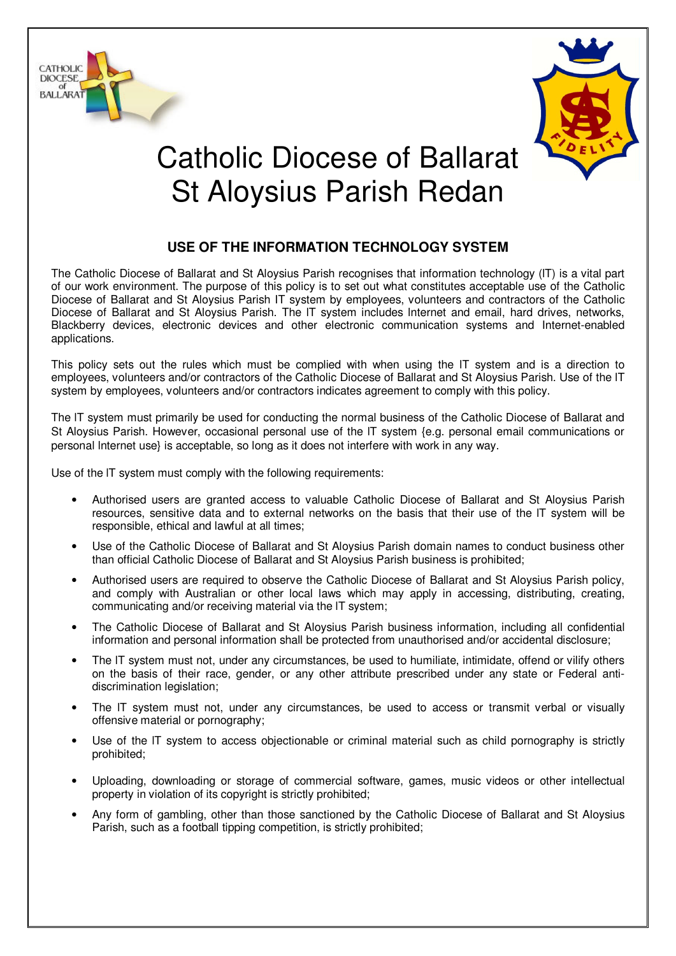



## Catholic Diocese of Ballarat St Aloysius Parish Redan

## **USE OF THE INFORMATION TECHNOLOGY SYSTEM**

The Catholic Diocese of Ballarat and St Aloysius Parish recognises that information technology (lT) is a vital part of our work environment. The purpose of this policy is to set out what constitutes acceptable use of the Catholic Diocese of Ballarat and St Aloysius Parish IT system by employees, volunteers and contractors of the Catholic Diocese of Ballarat and St Aloysius Parish. The lT system includes lnternet and email, hard drives, networks, Blackberry devices, electronic devices and other electronic communication systems and Internet-enabled applications.

This policy sets out the rules which must be complied with when using the lT system and is a direction to employees, volunteers and/or contractors of the Catholic Diocese of Ballarat and St Aloysius Parish. Use of the lT system by employees, volunteers and/or contractors indicates agreement to comply with this policy.

The lT system must primarily be used for conducting the normal business of the Catholic Diocese of Ballarat and St Aloysius Parish. However, occasional personal use of the lT system {e.g. personal email communications or personal lnternet use} is acceptable, so long as it does not interfere with work in any way.

Use of the lT system must comply with the following requirements:

- Authorised users are granted access to valuable Catholic Diocese of Ballarat and St Aloysius Parish resources, sensitive data and to external networks on the basis that their use of the lT system will be responsible, ethical and lawful at all times;
- Use of the Catholic Diocese of Ballarat and St Aloysius Parish domain names to conduct business other than official Catholic Diocese of Ballarat and St Aloysius Parish business is prohibited;
- Authorised users are required to observe the Catholic Diocese of Ballarat and St Aloysius Parish policy, and comply with Australian or other local laws which may apply in accessing, distributing, creating, communicating and/or receiving material via the lT system;
- The Catholic Diocese of Ballarat and St Aloysius Parish business information, including all confidential information and personal information shall be protected from unauthorised and/or accidental disclosure;
- The IT system must not, under any circumstances, be used to humiliate, intimidate, offend or vilify others on the basis of their race, gender, or any other attribute prescribed under any state or Federal antidiscrimination legislation;
- The IT system must not, under any circumstances, be used to access or transmit verbal or visually offensive material or pornography;
- Use of the IT system to access objectionable or criminal material such as child pornography is strictly prohibited;
- Uploading, downloading or storage of commercial software, games, music videos or other intellectual property in violation of its copyright is strictly prohibited;
- Any form of gambling, other than those sanctioned by the Catholic Diocese of Ballarat and St Aloysius Parish, such as a football tipping competition, is strictly prohibited;